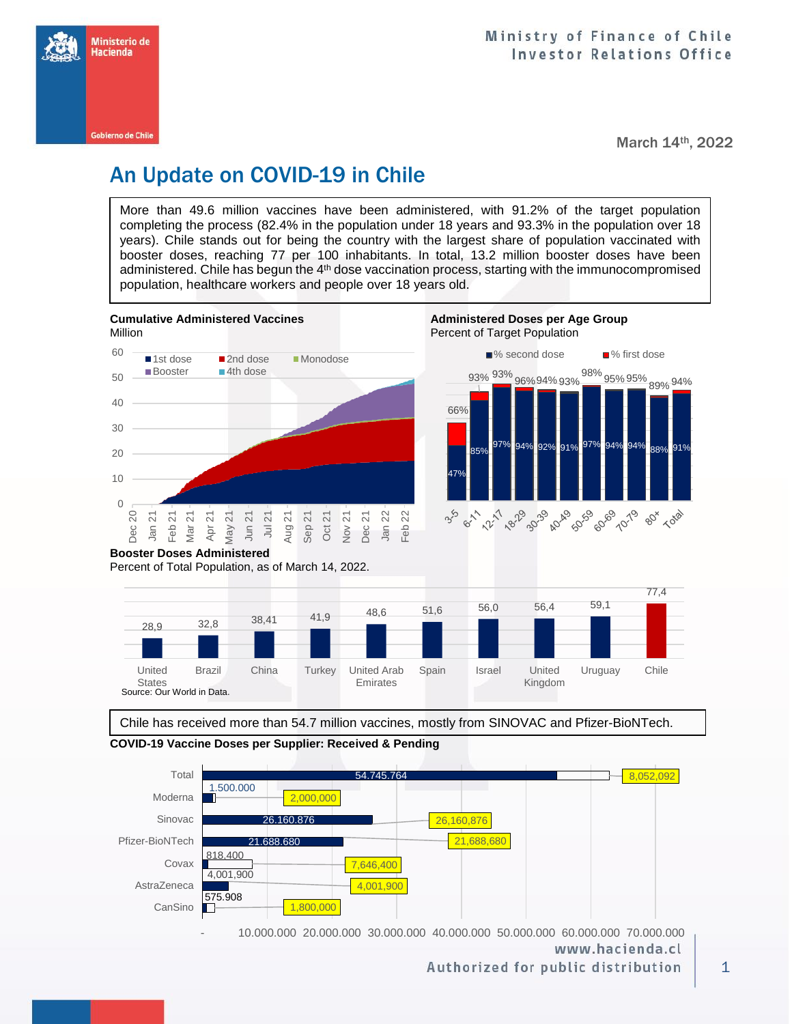

March 14th, 2022

## An Update on COVID-19 in Chile

More than 49.6 million vaccines have been administered, with 91.2% of the target population completing the process (82.4% in the population under 18 years and 93.3% in the population over 18 years). Chile stands out for being the country with the largest share of population vaccinated with booster doses, reaching 77 per 100 inhabitants. In total, 13.2 million booster doses have been administered. Chile has begun the 4<sup>th</sup> dose vaccination process, starting with the immunocompromised population, healthcare workers and people over 18 years old.





Chile has received more than 54.7 million vaccines, mostly from SINOVAC and Pfizer-BioNTech.

**COVID-19 Vaccine Doses per Supplier: Received & Pending**



Authorized for public distribution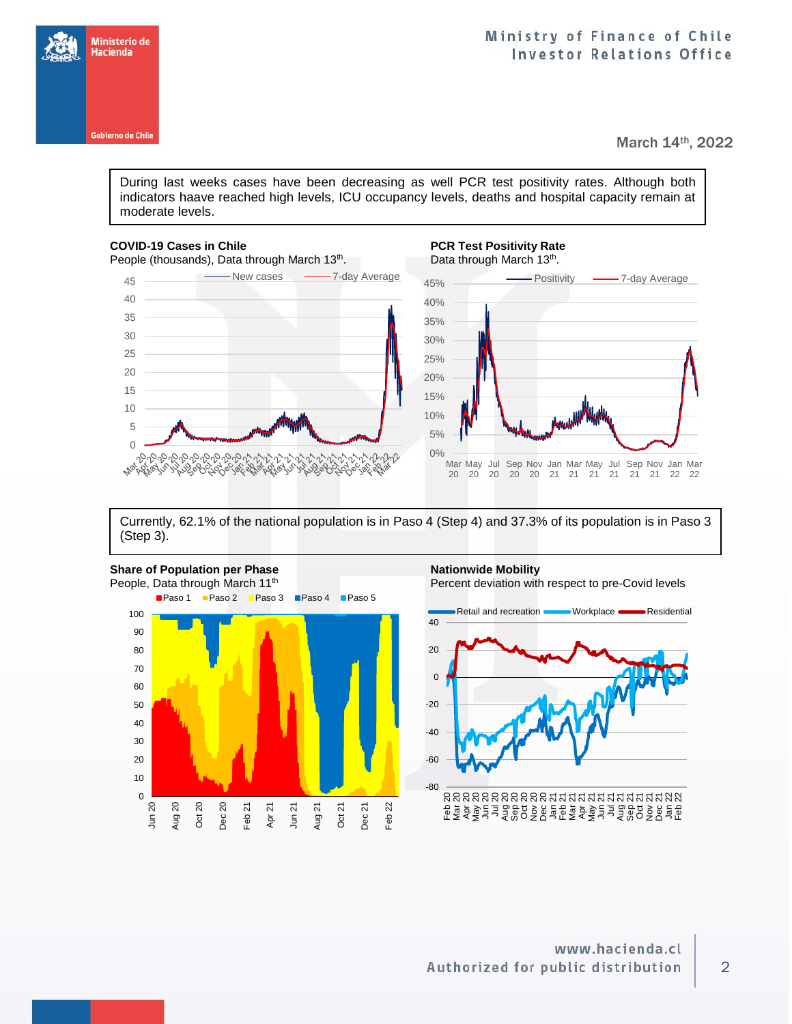

Ministerio de Hacienda **Gobierno de Chile** 

March 14th, 2022

During last weeks cases have been decreasing as well PCR test positivity rates. Although both indicators haave reached high levels, ICU occupancy levels, deaths and hospital capacity remain at moderate levels.

## **COVID-19 Cases in Chile PCR Test Positivity Rate PCR Test Positivity Rate** People (thousands), Data through March 13<sup>th</sup>. . **Data through March 13<sup>th</sup>**. 45 New cases -7-day Average - Positivity - 7-day Average 45% 40 40% 35 35% 30 30% 25 25% 20 20% 15 15% 10 10% 5 5%  $\theta$ 0% ესესტიე าใก่ไ ηÇ Mar May Jul Sep Nov Jan Mar May Jul Sep Nov Jan Mar **Wat 250** ふっとうしょうしゅく ores 21 20 20 20 20 21 21 21 21 21 22 22

Currently, 62.1% of the national population is in Paso 4 (Step 4) and 37.3% of its population is in Paso 3 (Step 3).